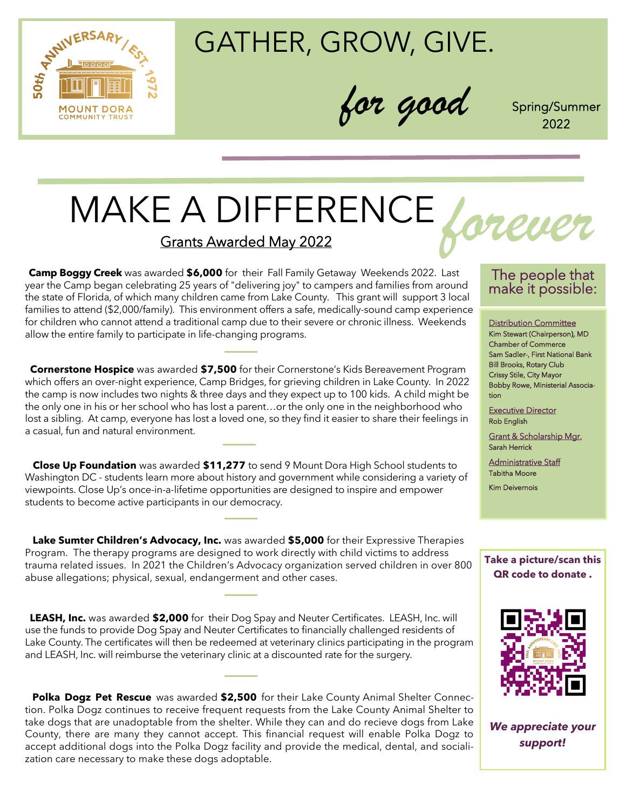

GATHER, GROW, GIVE.

*for good* Spring/Summer

2022

# MAKE A DIFFERENCE Grants Awarded May 2022

 **Camp Boggy Creek** was awarded **\$6,000** for their Fall Family Getaway Weekends 2022. Last year the Camp began celebrating 25 years of "delivering joy" to campers and families from around the state of Florida, of which many children came from Lake County. This grant will support 3 local families to attend (\$2,000/family). This environment offers a safe, medically-sound camp experience for children who cannot attend a traditional camp due to their severe or chronic illness. Weekends allow the entire family to participate in life-changing programs.

 **Cornerstone Hospice** was awarded **\$7,500** for their Cornerstone's Kids Bereavement Program which offers an over-night experience, Camp Bridges, for grieving children in Lake County. In 2022 the camp is now includes two nights & three days and they expect up to 100 kids. A child might be the only one in his or her school who has lost a parent…or the only one in the neighborhood who lost a sibling. At camp, everyone has lost a loved one, so they find it easier to share their feelings in a casual, fun and natural environment.

 **Close Up Foundation** was awarded **\$11,277** to send 9 Mount Dora High School students to Washington DC - students learn more about history and government while considering a variety of viewpoints. Close Up's once-in-a-lifetime opportunities are designed to inspire and empower students to become active participants in our democracy.

 **Lake Sumter Children's Advocacy, Inc.** was awarded **\$5,000** for their Expressive Therapies Program. The therapy programs are designed to work directly with child victims to address trauma related issues. In 2021 the Children's Advocacy organization served children in over 800 abuse allegations; physical, sexual, endangerment and other cases.

 **LEASH, Inc.** was awarded **\$2,000** for their Dog Spay and Neuter Certificates. LEASH, Inc. will use the funds to provide Dog Spay and Neuter Certificates to financially challenged residents of Lake County. The certificates will then be redeemed at veterinary clinics participating in the program and LEASH, Inc. will reimburse the veterinary clinic at a discounted rate for the surgery.

**Polka Dogz Pet Rescue** was awarded **\$2,500** for their Lake County Animal Shelter Connection. Polka Dogz continues to receive frequent requests from the Lake County Animal Shelter to take dogs that are unadoptable from the shelter. While they can and do recieve dogs from Lake County, there are many they cannot accept. This financial request will enable Polka Dogz to accept additional dogs into the Polka Dogz facility and provide the medical, dental, and socialization care necessary to make these dogs adoptable.

## The people that make it possible:

Distribution Committee Kim Stewart (Chairperson), MD Chamber of Commerce Sam Sadler-, First National Bank Bill Brooks, Rotary Club Crissy Stile, City Mayor Bobby Rowe, Ministerial Association

Executive Director Rob English

Grant & Scholarship Mgr. Sarah Herrick

Administrative Staff Tabitha Moore

Kim Deivernois

**Take a picture/scan this QR code to donate .**



*We appreciate your support!*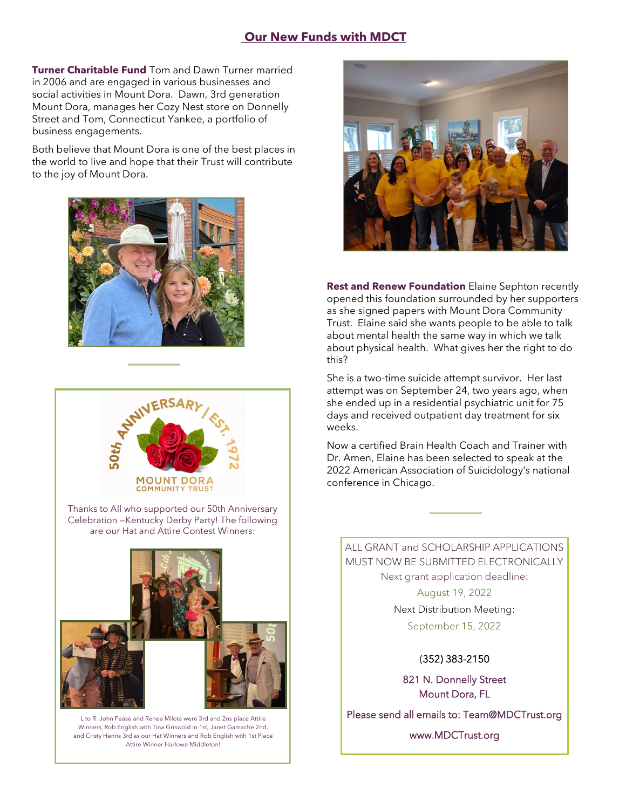## **Our New Funds with MDCT**

**Turner Charitable Fund** Tom and Dawn Turner married in 2006 and are engaged in various businesses and social activities in Mount Dora. Dawn, 3rd generation Mount Dora, manages her Cozy Nest store on Donnelly Street and Tom, Connecticut Yankee, a portfolio of business engagements.

Both believe that Mount Dora is one of the best places in the world to live and hope that their Trust will contribute to the joy of Mount Dora.





Thanks to All who supported our 50th Anniversary Celebration —Kentucky Derby Party! The following are our Hat and Attire Contest Winners:



L to R: John Pease and Renee Milota were 3rd and 2ns place Attire Winners, Rob English with Tina Griswold in 1st, Janet Gamache 2nd, and Cristy Henns 3rd as our Hat Winners and Rob English with 1st Place Attire Winner Harlowe Middleton!



**Rest and Renew Foundation** Elaine Sephton recently opened this foundation surrounded by her supporters as she signed papers with Mount Dora Community Trust. Elaine said she wants people to be able to talk about mental health the same way in which we talk about physical health. What gives her the right to do this?

She is a two-time suicide attempt survivor. Her last attempt was on September 24, two years ago, when she ended up in a residential psychiatric unit for 75 days and received outpatient day treatment for six weeks.

Now a certified Brain Health Coach and Trainer with Dr. Amen, Elaine has been selected to speak at the 2022 American Association of Suicidology's national conference in Chicago.

ALL GRANT and SCHOLARSHIP APPLICATIONS MUST NOW BE SUBMITTED ELECTRONICALLY Next grant application deadline:

> August 19, 2022 Next Distribution Meeting: September 15, 2022

> > (352) 383-2150

821 N. Donnelly Street Mount Dora, FL

Please send all emails to: Team@MDCTrust.org

www.MDCTrust.org